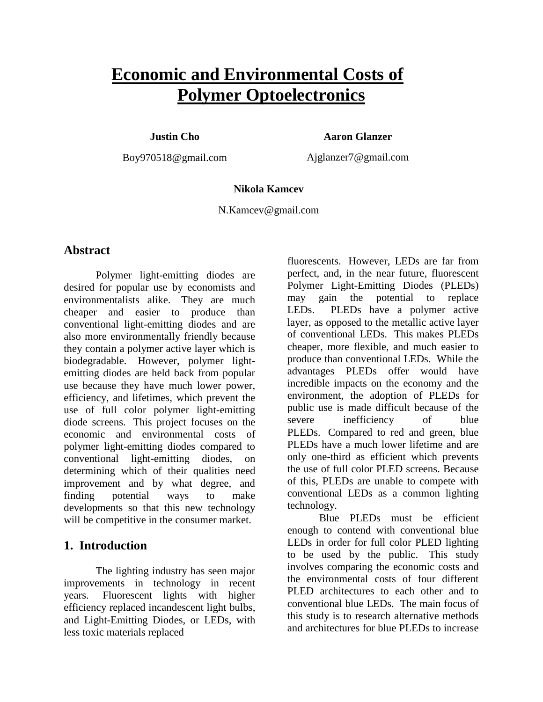# **Economic and Environmental Costs of Polymer Optoelectronics**

**Justin Cho**

**Aaron Glanzer**

Boy970518@gmail.com

Ajglanzer7@gmail.com

# **Nikola Kamcev**

N.Kamcev@gmail.com

# **Abstract**

Polymer light-emitting diodes are desired for popular use by economists and environmentalists alike. They are much cheaper and easier to produce than conventional light-emitting diodes and are also more environmentally friendly because they contain a polymer active layer which is biodegradable. However, polymer lightemitting diodes are held back from popular use because they have much lower power, efficiency, and lifetimes, which prevent the use of full color polymer light-emitting diode screens. This project focuses on the economic and environmental costs of polymer light-emitting diodes compared to conventional light-emitting diodes, on determining which of their qualities need improvement and by what degree, and finding potential ways to make developments so that this new technology will be competitive in the consumer market.

# **1. Introduction**

The lighting industry has seen major improvements in technology in recent years. Fluorescent lights with higher efficiency replaced incandescent light bulbs, and Light-Emitting Diodes, or LEDs, with less toxic materials replaced

fluorescents. However, LEDs are far from perfect, and, in the near future, fluorescent Polymer Light-Emitting Diodes (PLEDs) may gain the potential to replace LEDs. PLEDs have a polymer active layer, as opposed to the metallic active layer of conventional LEDs. This makes PLEDs cheaper, more flexible, and much easier to produce than conventional LEDs. While the advantages PLEDs offer would have incredible impacts on the economy and the environment, the adoption of PLEDs for public use is made difficult because of the severe inefficiency of blue PLEDs. Compared to red and green, blue PLEDs have a much lower lifetime and are only one-third as efficient which prevents the use of full color PLED screens. Because of this, PLEDs are unable to compete with conventional LEDs as a common lighting technology.

Blue PLEDs must be efficient enough to contend with conventional blue LEDs in order for full color PLED lighting to be used by the public. This study involves comparing the economic costs and the environmental costs of four different PLED architectures to each other and to conventional blue LEDs. The main focus of this study is to research alternative methods and architectures for blue PLEDs to increase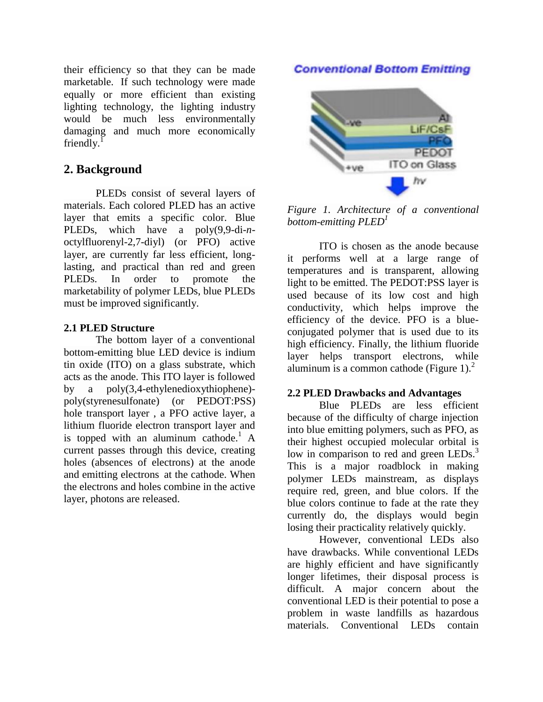their efficiency so that they can be made marketable. If such technology were made equally or more efficient than existing lighting technology, the lighting industry would be much less environmentally damaging and much more economically friendly. $<sup>1</sup>$ </sup>

# **2. Background**

PLEDs consist of several layers of materials. Each colored PLED has an active layer that emits a specific color. Blue PLEDs, which have a poly(9,9-di-*n*octylfluorenyl-2,7-diyl) (or PFO) active layer, are currently far less efficient, longlasting, and practical than red and green PLEDs. In order to promote the marketability of polymer LEDs, blue PLEDs must be improved significantly.

## **2.1 PLED Structure**

The bottom layer of a conventional bottom-emitting blue LED device is indium tin oxide (ITO) on a glass substrate, which acts as the anode. This ITO layer is followed by a poly(3,4-ethylenedioxythiophene) poly(styrenesulfonate) (or PEDOT:PSS) hole transport layer , a PFO active layer, a lithium fluoride electron transport layer and is topped with an aluminum cathode.<sup>1</sup> A current passes through this device, creating holes (absences of electrons) at the anode and emitting electrons at the cathode. When the electrons and holes combine in the active layer, photons are released.

# **Conventional Bottom Emitting**



*Figure 1. Architecture of a conventional bottom-emitting PLED<sup>1</sup>*

ITO is chosen as the anode because it performs well at a large range of temperatures and is transparent, allowing light to be emitted. The PEDOT:PSS layer is used because of its low cost and high conductivity, which helps improve the efficiency of the device. PFO is a blueconjugated polymer that is used due to its high efficiency. Finally, the lithium fluoride layer helps transport electrons, while aluminum is a common cathode (Figure  $1$ ).<sup>2</sup>

#### **2.2 PLED Drawbacks and Advantages**

Blue PLEDs are less efficient because of the difficulty of charge injection into blue emitting polymers, such as PFO, as their highest occupied molecular orbital is low in comparison to red and green LEDs.<sup>3</sup> This is a major roadblock in making polymer LEDs mainstream, as displays require red, green, and blue colors. If the blue colors continue to fade at the rate they currently do, the displays would begin losing their practicality relatively quickly.

However, conventional LEDs also have drawbacks. While conventional LEDs are highly efficient and have significantly longer lifetimes, their disposal process is difficult. A major concern about the conventional LED is their potential to pose a problem in waste landfills as hazardous materials. Conventional LEDs contain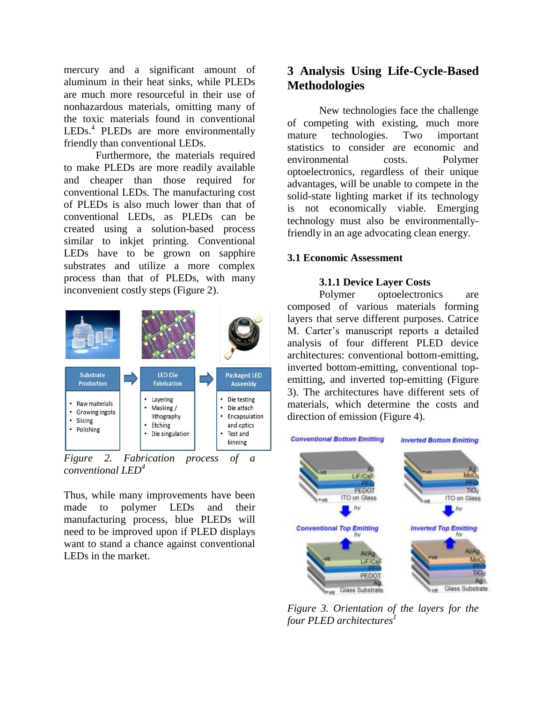mercury and a significant amount of aluminum in their heat sinks, while PLEDs are much more resourceful in their use of nonhazardous materials, omitting many of the toxic materials found in conventional LEDs.<sup>4</sup> PLEDs are more environmentally friendly than conventional LEDs.

Furthermore, the materials required to make PLEDs are more readily available and cheaper than those required for conventional LEDs. The manufacturing cost of PLEDs is also much lower than that of conventional LEDs, as PLEDs can be created using a solution-based process similar to inkjet printing. Conventional LEDs have to be grown on sapphire substrates and utilize a more complex process than that of PLEDs, with many inconvenient costly steps (Figure 2).



*Figure 2. Fabrication process of a conventional LED 4*

Thus, while many improvements have been made to polymer LEDs and their manufacturing process, blue PLEDs will need to be improved upon if PLED displays want to stand a chance against conventional LEDs in the market.

# **3 Analysis Using Life-Cycle-Based Methodologies**

New technologies face the challenge of competing with existing, much more mature technologies. Two important statistics to consider are economic and environmental costs. Polymer optoelectronics, regardless of their unique advantages, will be unable to compete in the solid-state lighting market if its technology is not economically viable. Emerging technology must also be environmentallyfriendly in an age advocating clean energy.

#### **3.1 Economic Assessment**

#### **3.1.1 Device Layer Costs**

Polymer optoelectronics are composed of various materials forming layers that serve different purposes. Catrice M. Carter's manuscript reports a detailed analysis of four different PLED device architectures: conventional bottom-emitting, inverted bottom-emitting, conventional topemitting, and inverted top-emitting (Figure 3). The architectures have different sets of materials, which determine the costs and direction of emission (Figure 4).



*Figure 3. Orientation of the layers for the four PLED architectures 1*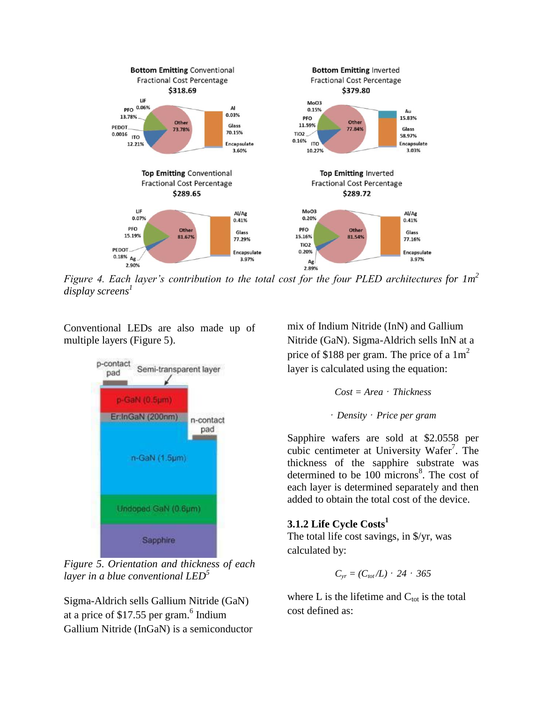

*Figure 4. Each layer's contribution to the total cost for the four PLED architectures for 1m<sup>2</sup> display screens 1*

Conventional LEDs are also made up of multiple layers (Figure 5).



*Figure 5. Orientation and thickness of each layer in a blue conventional LED<sup>5</sup>*

Sigma-Aldrich sells Gallium Nitride (GaN) at a price of  $$17.55$  per gram.<sup>6</sup> Indium Gallium Nitride (InGaN) is a semiconductor

mix of Indium Nitride (InN) and Gallium Nitride (GaN). Sigma-Aldrich sells InN at a price of \$188 per gram. The price of a  $1m<sup>2</sup>$ layer is calculated using the equation:

$$
Cost = Area \cdot Thickness
$$

*Density* · *Price per gram*

Sapphire wafers are sold at \$2.0558 per cubic centimeter at University Wafer<sup>7</sup>. The thickness of the sapphire substrate was determined to be  $100$  microns<sup>8</sup>. The cost of each layer is determined separately and then added to obtain the total cost of the device.

# **3.1.2 Life Cycle Costs<sup>1</sup>**

The total life cost savings, in \$/yr, was calculated by:

$$
C_{yr}=(C_{tot}/L)\cdot 24\cdot 365
$$

where L is the lifetime and  $C_{\text{tot}}$  is the total cost defined as: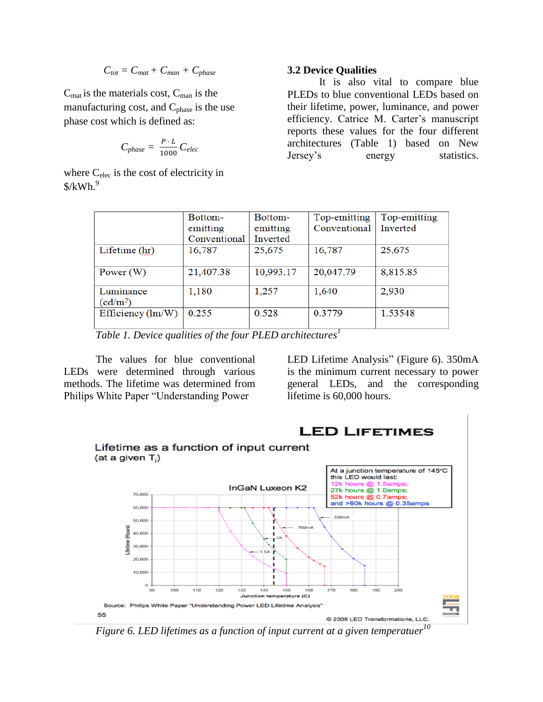$$
C_{\text{tot}} = C_{\text{mat}} + C_{\text{man}} + C_{\text{phase}}
$$

 $C_{\text{mat}}$  is the materials cost,  $C_{\text{man}}$  is the manufacturing cost, and  $C_{phase}$  is the use phase cost which is defined as:

$$
C_{phase} = \frac{P \cdot L}{1000} C_{elec}
$$

where C<sub>elec</sub> is the cost of electricity in  $$/kWh.<sup>9</sup>$ 

## **3.2 Device Qualities**

It is also vital to compare blue PLEDs to blue conventional LEDs based on their lifetime, power, luminance, and power efficiency. Catrice M. Carter's manuscript reports these values for the four different architectures (Table 1) based on New Jersey's energy statistics.

|                            | Bottom-      | Bottom-   | Top-emitting | Top-emitting |
|----------------------------|--------------|-----------|--------------|--------------|
|                            | emitting     | emitting  | Conventional | Inverted     |
|                            | Conventional | Inverted  |              |              |
| Lifetime (hr)              | 16,787       | 25,675    | 16,787       | 25,675       |
| Power $(W)$                | 21,407.38    | 10,993.17 | 20,047.79    | 8,815.85     |
| Luminance                  | 1,180        | 1,257     | 1,640        | 2,930        |
| (cd/m <sup>2</sup> )       |              |           |              |              |
| Efficiency $(\text{lm/W})$ | 0.255        | 0.528     | 0.3779       | 1.53548      |

*Table 1. Device qualities of the four PLED architectures<sup>1</sup>*

The values for blue conventional LEDs were determined through various methods. The lifetime was determined from Philips White Paper "Understanding Power

LED Lifetime Analysis" (Figure 6). 350mA is the minimum current necessary to power general LEDs, and the corresponding lifetime is 60,000 hours.



*Figure 6. LED lifetimes as a function of input current at a given temperatuer 10*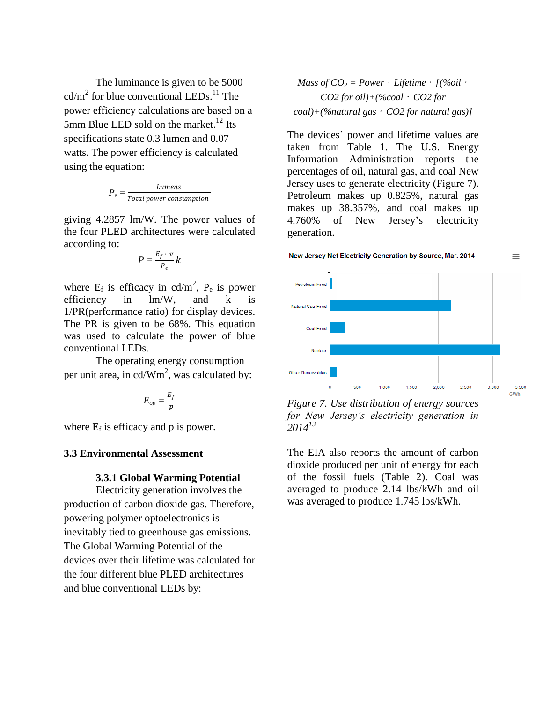The luminance is given to be 5000  $cd/m<sup>2</sup>$  for blue conventional LEDs.<sup>11</sup> The power efficiency calculations are based on a 5mm Blue LED sold on the market.<sup>12</sup> Its specifications state 0.3 lumen and 0.07 watts. The power efficiency is calculated using the equation:

$$
P_e = \frac{Lumens}{Total power consumption}
$$

giving 4.2857 lm/W. The power values of the four PLED architectures were calculated according to:

$$
P=\frac{E_f\cdot\pi}{P_e}k
$$

where  $E_f$  is efficacy in cd/m<sup>2</sup>,  $P_e$  is power efficiency in lm/W, and k is 1/PR(performance ratio) for display devices. The PR is given to be 68%. This equation was used to calculate the power of blue conventional LEDs.

The operating energy consumption per unit area, in cd/Wm<sup>2</sup>, was calculated by:

$$
E_{op}=\frac{E_f}{p}
$$

where  $E_f$  is efficacy and p is power.

#### **3.3 Environmental Assessment**

#### **3.3.1 Global Warming Potential**

Electricity generation involves the production of carbon dioxide gas. Therefore, powering polymer optoelectronics is inevitably tied to greenhouse gas emissions. The Global Warming Potential of the devices over their lifetime was calculated for the four different blue PLED architectures and blue conventional LEDs by:

Mass of 
$$
CO_2
$$
 = Power · Lifetime · [(%oil · CO2 for oil)+(%coal · CO2 for  
coal)+(%natural gas · CO2 for natural gas)]

The devices' power and lifetime values are taken from Table 1. The U.S. Energy Information Administration reports the percentages of oil, natural gas, and coal New Jersey uses to generate electricity (Figure 7). Petroleum makes up 0.825%, natural gas makes up 38.357%, and coal makes up 4.760% of New Jersey's electricity generation.





*Figure 7. Use distribution of energy sources for New Jersey's electricity generation in 2014<sup>13</sup>*

The EIA also reports the amount of carbon dioxide produced per unit of energy for each of the fossil fuels (Table 2). Coal was averaged to produce 2.14 lbs/kWh and oil was averaged to produce 1.745 lbs/kWh.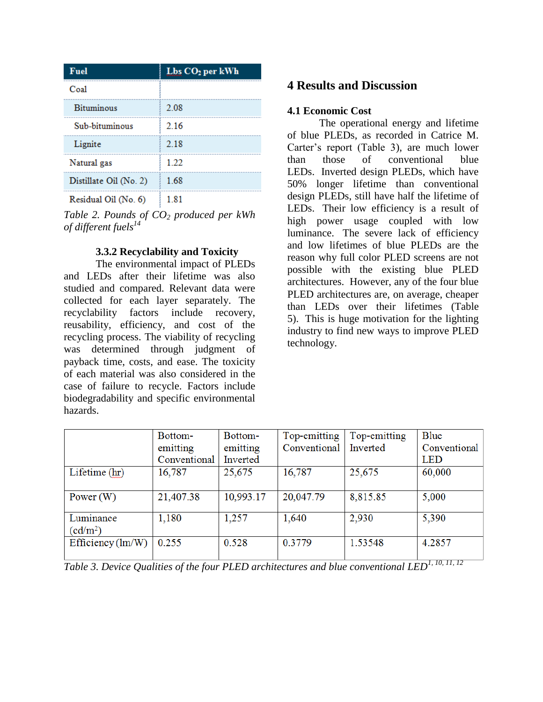| <b>Fuel</b>            | Lbs CO <sub>2</sub> per kWh |  |
|------------------------|-----------------------------|--|
| Coal                   |                             |  |
| <b>Bituminous</b>      | 2.08                        |  |
| Sub-bituminous         | 2.16                        |  |
| Lignite                | 2.18                        |  |
| Natural gas            | 1 22                        |  |
| Distillate Oil (No. 2) | 1.68                        |  |
| Residual Oil (No. 6)   | 181                         |  |

*Table 2. Pounds of CO<sup>2</sup> produced per kWh of different fuels<sup>14</sup>*

# **3.3.2 Recyclability and Toxicity**

The environmental impact of PLEDs and LEDs after their lifetime was also studied and compared. Relevant data were collected for each layer separately. The recyclability factors include recovery, reusability, efficiency, and cost of the recycling process. The viability of recycling was determined through judgment of payback time, costs, and ease. The toxicity of each material was also considered in the case of failure to recycle. Factors include biodegradability and specific environmental hazards.

# **4 Results and Discussion**

#### **4.1 Economic Cost**

The operational energy and lifetime of blue PLEDs, as recorded in Catrice M. Carter's report (Table 3), are much lower than those of conventional blue LEDs. Inverted design PLEDs, which have 50% longer lifetime than conventional design PLEDs, still have half the lifetime of LEDs. Their low efficiency is a result of high power usage coupled with low luminance. The severe lack of efficiency and low lifetimes of blue PLEDs are the reason why full color PLED screens are not possible with the existing blue PLED architectures. However, any of the four blue PLED architectures are, on average, cheaper than LEDs over their lifetimes (Table 5). This is huge motivation for the lighting industry to find new ways to improve PLED technology.

|                                   | Bottom-      | Bottom-   | Top-emitting | Top-emitting | Blue         |
|-----------------------------------|--------------|-----------|--------------|--------------|--------------|
|                                   | emitting     | emitting  | Conventional | Inverted     | Conventional |
|                                   | Conventional | Inverted  |              |              | <b>LED</b>   |
| Lifetime (hr)                     | 16,787       | 25,675    | 16,787       | 25,675       | 60,000       |
| Power $(W)$                       | 21,407.38    | 10,993.17 | 20,047.79    | 8,815.85     | 5,000        |
| Luminance<br>(cd/m <sup>2</sup> ) | 1,180        | 1,257     | 1,640        | 2,930        | 5,390        |
| Efficiency $(lm/W)$               | 0.255        | 0.528     | 0.3779       | 1.53548      | 4.2857       |

*Table 3. Device Qualities of the four PLED architectures and blue conventional LED1, 10, 11, <sup>12</sup>*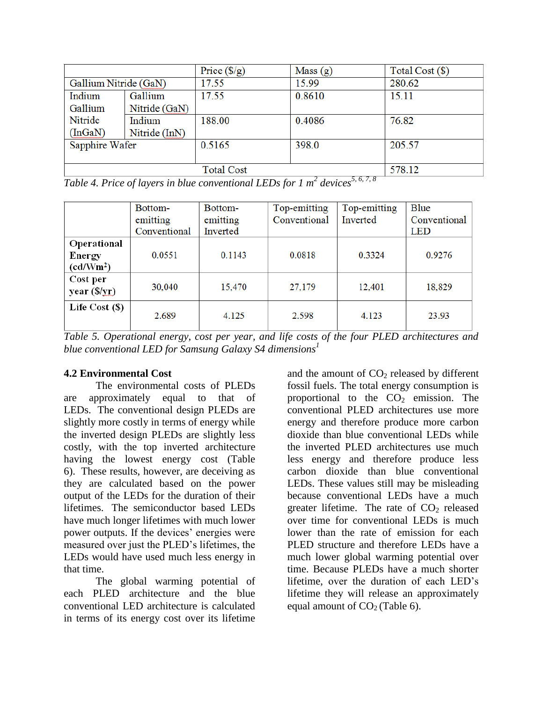|                       |               | Price $(\frac{6}{9})$ | Mass $(g)$ | Total Cost (\$) |
|-----------------------|---------------|-----------------------|------------|-----------------|
| Gallium Nitride (GaN) |               | 17.55                 | 15.99      | 280.62          |
| Indium                | Gallium       | 17.55                 | 0.8610     | 15.11           |
| Gallium               | Nitride (GaN) |                       |            |                 |
| Nitride               | Indium        | 188.00                | 0.4086     | 76.82           |
| (InGaN)               | Nitride (InN) |                       |            |                 |
| Sapphire Wafer        |               | 0.5165                | 398.0      | 205.57          |
|                       |               |                       |            |                 |
|                       |               | <b>Total Cost</b>     | 5678       | 578.12          |

*Table 4. Price of layers in blue conventional LEDs for 1 m<sup>2</sup> devices5, 6, 7, 8*

| Bottom-      | Bottom-         | Top-emitting    | Top-emitting    | Blue            |
|--------------|-----------------|-----------------|-----------------|-----------------|
| emitting     | emitting        | Conventional    | Inverted        | Conventional    |
| Conventional | Inverted        |                 |                 | <b>LED</b>      |
|              |                 |                 |                 |                 |
| 0.0551       | 0.1143          | 0.0818          | 0.3324          | 0.9276          |
|              |                 |                 |                 |                 |
|              |                 |                 |                 |                 |
|              |                 |                 |                 | 18,829          |
|              |                 |                 |                 |                 |
|              |                 |                 |                 | 23.93           |
|              | 30,040<br>2.689 | 15,470<br>4.125 | 27,179<br>2.598 | 12,401<br>4.123 |

*Table 5. Operational energy, cost per year, and life costs of the four PLED architectures and blue conventional LED for Samsung Galaxy S4 dimensions<sup>1</sup>*

# **4.2 Environmental Cost**

The environmental costs of PLEDs are approximately equal to that of LEDs. The conventional design PLEDs are slightly more costly in terms of energy while the inverted design PLEDs are slightly less costly, with the top inverted architecture having the lowest energy cost (Table 6). These results, however, are deceiving as they are calculated based on the power output of the LEDs for the duration of their lifetimes. The semiconductor based LEDs have much longer lifetimes with much lower power outputs. If the devices' energies were measured over just the PLED's lifetimes, the LEDs would have used much less energy in that time.

The global warming potential of each PLED architecture and the blue conventional LED architecture is calculated in terms of its energy cost over its lifetime

and the amount of  $CO<sub>2</sub>$  released by different fossil fuels. The total energy consumption is proportional to the  $CO<sub>2</sub>$  emission. The conventional PLED architectures use more energy and therefore produce more carbon dioxide than blue conventional LEDs while the inverted PLED architectures use much less energy and therefore produce less carbon dioxide than blue conventional LEDs. These values still may be misleading because conventional LEDs have a much greater lifetime. The rate of  $CO<sub>2</sub>$  released over time for conventional LEDs is much lower than the rate of emission for each PLED structure and therefore LEDs have a much lower global warming potential over time. Because PLEDs have a much shorter lifetime, over the duration of each LED's lifetime they will release an approximately equal amount of  $CO<sub>2</sub>$  (Table 6).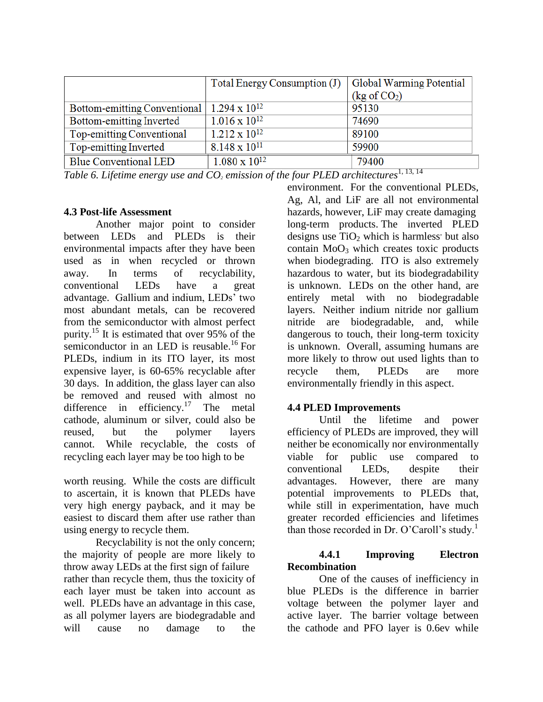|                                                         | Total Energy Consumption (J) | Global Warming Potential |  |
|---------------------------------------------------------|------------------------------|--------------------------|--|
|                                                         |                              | $(kg \text{ of } CO_2)$  |  |
| Bottom-emitting Conventional   1.294 x 10 <sup>12</sup> |                              | 95130                    |  |
| Bottom-emitting Inverted                                | $1.016 \times 10^{12}$       | 74690                    |  |
| Top-emitting Conventional                               | $1.212 \times 10^{12}$       | 89100                    |  |
| Top-emitting Inverted                                   | $8.148 \times 10^{11}$       | 59900                    |  |
| <b>Blue Conventional LED</b>                            | $1.080 \times 10^{12}$       | 79400                    |  |

Table 6. Lifetime energy use and  $CO<sub>2</sub>$  *emission of the four PLED architectures*<sup>1, 13, 14</sup>

## **4.3 Post-life Assessment**

Another major point to consider between LEDs and PLEDs is their environmental impacts after they have been used as in when recycled or thrown away. In terms of recyclability, conventional LEDs have a great advantage. Gallium and indium, LEDs' two most abundant metals, can be recovered from the semiconductor with almost perfect purity.<sup>15</sup> It is estimated that over 95% of the semiconductor in an LED is reusable.<sup>16</sup> For PLEDs, indium in its ITO layer, its most expensive layer, is 60-65% recyclable after 30 days. In addition, the glass layer can also be removed and reused with almost no difference in efficiency.<sup>17</sup> The metal cathode, aluminum or silver, could also be reused, but the polymer layers cannot. While recyclable, the costs of recycling each layer may be too high to be

worth reusing. While the costs are difficult to ascertain, it is known that PLEDs have very high energy payback, and it may be easiest to discard them after use rather than using energy to recycle them.

Recyclability is not the only concern; the majority of people are more likely to throw away LEDs at the first sign of failure rather than recycle them, thus the toxicity of each layer must be taken into account as well. PLEDs have an advantage in this case, as all polymer layers are biodegradable and will cause no damage to the

environment. For the conventional PLEDs, Ag, Al, and LiF are all not environmental hazards, however, LiF may create damaging long-term products. The inverted PLED designs use  $TiO<sub>2</sub>$  which is harmless' but also contain  $MoO<sub>3</sub>$  which creates toxic products when biodegrading. ITO is also extremely hazardous to water, but its biodegradability is unknown. LEDs on the other hand, are entirely metal with no biodegradable layers. Neither indium nitride nor gallium nitride are biodegradable, and, while dangerous to touch, their long-term toxicity is unknown. Overall, assuming humans are more likely to throw out used lights than to recycle them, PLEDs are more environmentally friendly in this aspect.

# **4.4 PLED Improvements**

Until the lifetime and power efficiency of PLEDs are improved, they will neither be economically nor environmentally viable for public use compared to conventional LEDs, despite their advantages. However, there are many potential improvements to PLEDs that, while still in experimentation, have much greater recorded efficiencies and lifetimes than those recorded in Dr. O'Caroll's study.<sup>1</sup>

# **4.4.1 Improving Electron Recombination**

One of the causes of inefficiency in blue PLEDs is the difference in barrier voltage between the polymer layer and active layer. The barrier voltage between the cathode and PFO layer is 0.6ev while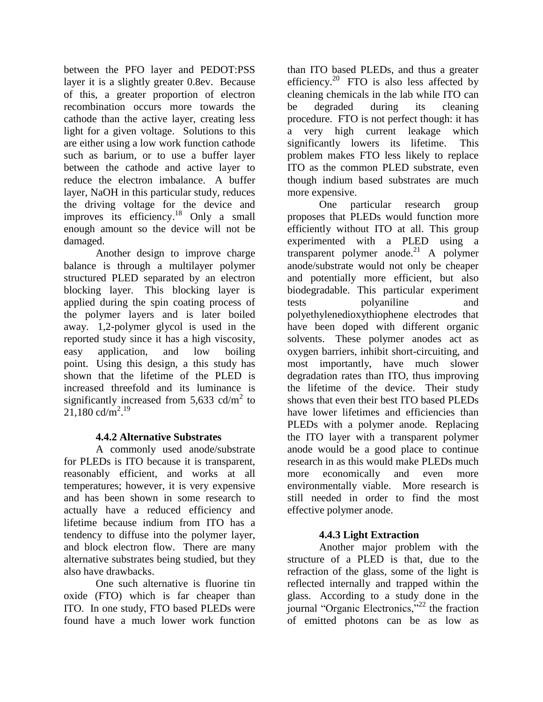between the PFO layer and PEDOT:PSS layer it is a slightly greater 0.8ev. Because of this, a greater proportion of electron recombination occurs more towards the cathode than the active layer, creating less light for a given voltage. Solutions to this are either using a low work function cathode such as barium, or to use a buffer layer between the cathode and active layer to reduce the electron imbalance. A buffer layer, NaOH in this particular study, reduces the driving voltage for the device and improves its efficiency. <sup>18</sup> Only a small enough amount so the device will not be damaged.

Another design to improve charge balance is through a multilayer polymer structured PLED separated by an electron blocking layer. This blocking layer is applied during the spin coating process of the polymer layers and is later boiled away. 1,2-polymer glycol is used in the reported study since it has a high viscosity, easy application, and low boiling point. Using this design, a this study has shown that the lifetime of the PLED is increased threefold and its luminance is significantly increased from 5,633 cd/ $m<sup>2</sup>$  to  $21,180 \text{ cd/m}^2$ <sup>19</sup>

# **4.4.2 Alternative Substrates**

A commonly used anode/substrate for PLEDs is ITO because it is transparent, reasonably efficient, and works at all temperatures; however, it is very expensive and has been shown in some research to actually have a reduced efficiency and lifetime because indium from ITO has a tendency to diffuse into the polymer layer, and block electron flow. There are many alternative substrates being studied, but they also have drawbacks.

One such alternative is fluorine tin oxide (FTO) which is far cheaper than ITO. In one study, FTO based PLEDs were found have a much lower work function

than ITO based PLEDs, and thus a greater efficiency.<sup>20</sup> FTO is also less affected by cleaning chemicals in the lab while ITO can be degraded during its cleaning procedure. FTO is not perfect though: it has a very high current leakage which significantly lowers its lifetime. This problem makes FTO less likely to replace ITO as the common PLED substrate, even though indium based substrates are much more expensive.

One particular research group proposes that PLEDs would function more efficiently without ITO at all. This group experimented with a PLED using a transparent polymer anode.<sup>21</sup> A polymer anode/substrate would not only be cheaper and potentially more efficient, but also biodegradable. This particular experiment tests polyaniline and polyethylenedioxythiophene electrodes that have been doped with different organic solvents. These polymer anodes act as oxygen barriers, inhibit short-circuiting, and most importantly, have much slower degradation rates than ITO, thus improving the lifetime of the device. Their study shows that even their best ITO based PLEDs have lower lifetimes and efficiencies than PLEDs with a polymer anode. Replacing the ITO layer with a transparent polymer anode would be a good place to continue research in as this would make PLEDs much more economically and even more environmentally viable. More research is still needed in order to find the most effective polymer anode.

# **4.4.3 Light Extraction**

Another major problem with the structure of a PLED is that, due to the refraction of the glass, some of the light is reflected internally and trapped within the glass. According to a study done in the journal "Organic Electronics,"<sup>22</sup> the fraction of emitted photons can be as low as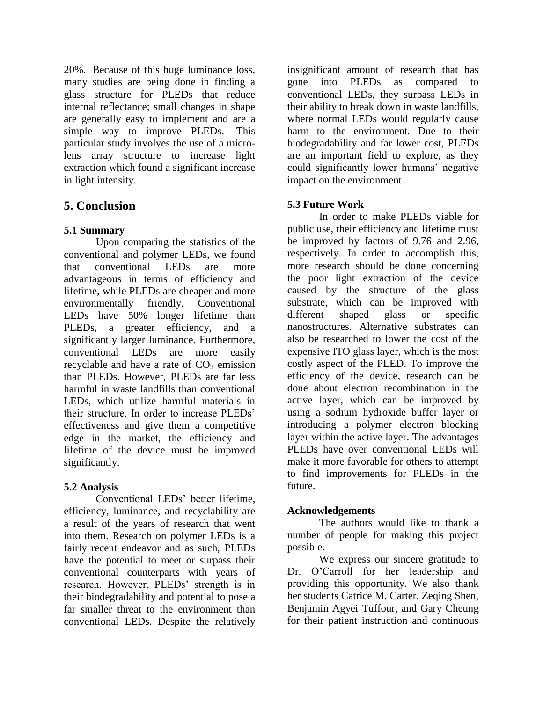20%. Because of this huge luminance loss, many studies are being done in finding a glass structure for PLEDs that reduce internal reflectance; small changes in shape are generally easy to implement and are a simple way to improve PLEDs. This particular study involves the use of a microlens array structure to increase light extraction which found a significant increase in light intensity.

# **5. Conclusion**

# **5.1 Summary**

Upon comparing the statistics of the conventional and polymer LEDs, we found that conventional LEDs are more advantageous in terms of efficiency and lifetime, while PLEDs are cheaper and more environmentally friendly. Conventional LEDs have 50% longer lifetime than PLEDs, a greater efficiency, and a significantly larger luminance. Furthermore, conventional LEDs are more easily recyclable and have a rate of  $CO<sub>2</sub>$  emission than PLEDs. However, PLEDs are far less harmful in waste landfills than conventional LEDs, which utilize harmful materials in their structure. In order to increase PLEDs' effectiveness and give them a competitive edge in the market, the efficiency and lifetime of the device must be improved significantly.

# **5.2 Analysis**

Conventional LEDs' better lifetime, efficiency, luminance, and recyclability are a result of the years of research that went into them. Research on polymer LEDs is a fairly recent endeavor and as such, PLEDs have the potential to meet or surpass their conventional counterparts with years of research. However, PLEDs' strength is in their biodegradability and potential to pose a far smaller threat to the environment than conventional LEDs. Despite the relatively

insignificant amount of research that has gone into PLEDs as compared to conventional LEDs, they surpass LEDs in their ability to break down in waste landfills, where normal LEDs would regularly cause harm to the environment. Due to their biodegradability and far lower cost, PLEDs are an important field to explore, as they could significantly lower humans' negative impact on the environment.

# **5.3 Future Work**

In order to make PLEDs viable for public use, their efficiency and lifetime must be improved by factors of 9.76 and 2.96, respectively. In order to accomplish this, more research should be done concerning the poor light extraction of the device caused by the structure of the glass substrate, which can be improved with different shaped glass or specific nanostructures. Alternative substrates can also be researched to lower the cost of the expensive ITO glass layer, which is the most costly aspect of the PLED. To improve the efficiency of the device, research can be done about electron recombination in the active layer, which can be improved by using a sodium hydroxide buffer layer or introducing a polymer electron blocking layer within the active layer. The advantages PLEDs have over conventional LEDs will make it more favorable for others to attempt to find improvements for PLEDs in the future.

# **Acknowledgements**

The authors would like to thank a number of people for making this project possible.

We express our sincere gratitude to Dr. O'Carroll for her leadership and providing this opportunity. We also thank her students Catrice M. Carter, Zeqing Shen, Benjamin Agyei Tuffour, and Gary Cheung for their patient instruction and continuous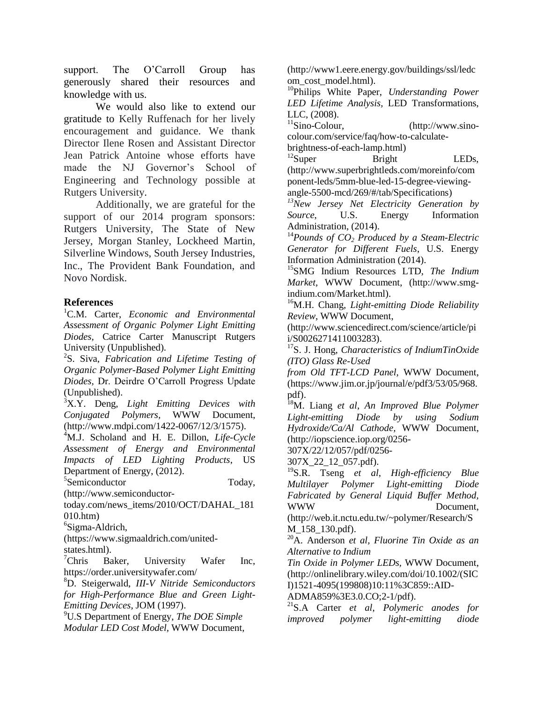support. The O'Carroll Group has generously shared their resources and knowledge with us.

We would also like to extend our gratitude to Kelly Ruffenach for her lively encouragement and guidance. We thank Director Ilene Rosen and Assistant Director Jean Patrick Antoine whose efforts have made the NJ Governor's School of Engineering and Technology possible at Rutgers University.

Additionally, we are grateful for the support of our 2014 program sponsors: Rutgers University, The State of New Jersey, Morgan Stanley, Lockheed Martin, Silverline Windows, South Jersey Industries, Inc., The Provident Bank Foundation, and Novo Nordisk.

## **References**

<sup>1</sup>C.M. Carter, *Economic and Environmental Assessment of Organic Polymer Light Emitting Diodes*, Catrice Carter Manuscript Rutgers University (Unpublished).

2 S. Siva, *Fabrication and Lifetime Testing of Organic Polymer-Based Polymer Light Emitting Diodes,* Dr. Deirdre O'Carroll Progress Update (Unpublished).

<sup>3</sup>X.Y. Deng, *Light Emitting Devices with Conjugated Polymers,* WWW Document, (http://www.mdpi.com/1422-0067/12/3/1575).

<sup>4</sup>M.J. Scholand and H. E. Dillon, *Life-Cycle Assessment of Energy and Environmental Impacts of LED Lighting Products*, US Department of Energy, (2012).

5 Semiconductor Today,

(http://www.semiconductor-

today.com/news\_items/2010/OCT/DAHAL\_181 010.htm)

<sup>6</sup>Sigma-Aldrich,

[\(https://www.sigmaaldrich.com/united](https://www.sigmaaldrich.com/united-states.html)[states.html\)](https://www.sigmaaldrich.com/united-states.html).

 ${}^{7}$ Chris Baker, University Wafer Inc, <https://order.universitywafer.com/>

<sup>8</sup>[D. Steigerwald,](http://www.tms.org/pubs/journals/JOM/9709/Steigerwald-9709.html#Steigerwald) *III-V Nitride Semiconductors for High-Performance Blue and Green Light-Emitting Devices*, JOM (1997).

<sup>9</sup>U.S Department of Energy, *The DOE Simple Modular LED Cost Model,* WWW Document, (http://www1.eere.energy.gov/buildings/ssl/ledc om\_cost\_model.html).

<sup>10</sup>Philips White Paper, *Understanding Power LED Lifetime Analysis*, LED Transformations, LLC, (2008).

 $11$ Sino-Colour, [\(http://www.sino](http://www.sino-colour.com/service/faq/how-to-calculate-brightness-of-each-lamp.html)[colour.com/service/faq/how-to-calculate-](http://www.sino-colour.com/service/faq/how-to-calculate-brightness-of-each-lamp.html)

[brightness-of-each-lamp.html\)](http://www.sino-colour.com/service/faq/how-to-calculate-brightness-of-each-lamp.html)

 $12$ Super Bright LEDs, [\(http://www.superbrightleds.com/moreinfo/com](http://www.superbrightleds.com/moreinfo/component-leds/5mm-blue-led-15-degree-viewing-angle-5500-mcd/269/#/tab/Specifications) [ponent-leds/5mm-blue-led-15-degree-viewing](http://www.superbrightleds.com/moreinfo/component-leds/5mm-blue-led-15-degree-viewing-angle-5500-mcd/269/#/tab/Specifications)[angle-5500-mcd/269/#/tab/Specifications\)](http://www.superbrightleds.com/moreinfo/component-leds/5mm-blue-led-15-degree-viewing-angle-5500-mcd/269/#/tab/Specifications)

*<sup>13</sup>New Jersey Net Electricity Generation by Source*, U.S. Energy Information Administration, (2014).

<sup>14</sup>*Pounds of CO<sup>2</sup> Produced by a Steam-Electric Generator for Different Fuels*, U.S. Energy Information Administration (2014).

<sup>15</sup>SMG Indium Resources LTD, *The Indium Market*, WWW Document, (http://www.smgindium.com/Market.html).

<sup>16</sup>M.H. Chang, *Light-emitting Diode Reliability Review*, WWW Document,

(http://www.sciencedirect.com/science/article/pi i/S0026271411003283).

<sup>17</sup>S. J. Hong, *Characteristics of IndiumTinOxide (ITO) Glass Re-Used*

*from Old TFT-LCD Panel,* WWW Documen[t,](https://www.jim.or.jp/journal/e/pdf3/53/05/968.pdf)  [\(https://www.jim.or.jp/journal/e/pdf3/53/05/968.](https://www.jim.or.jp/journal/e/pdf3/53/05/968.pdf) [pdf\)](https://www.jim.or.jp/journal/e/pdf3/53/05/968.pdf).

<sup>18</sup>M. Liang *et al*, *An Improved Blue Polymer Light-emitting Diode by using Sodium Hydroxide/Ca/Al Cathode,* WWW Document, (http://iopscience.iop.org/0256-

307X/22/12/057/pdf/0256-

307X\_22\_12\_057.pdf).

<sup>19</sup>S.R. Tseng *et al*, *High-efficiency Blue Multilayer Polymer Light-emitting Diode Fabricated by General Liquid Buffer Method,*  WWW Document.

(http://web.it.nctu.edu.tw/~polymer/Research/S M\_158\_130.pdf).

<sup>20</sup>A. Anderson *et al, Fluorine Tin Oxide as an Alternative to Indium*

*Tin Oxide in Polymer LEDs,* WWW Document, (http://onlinelibrary.wiley.com/doi/10.1002/(SIC I)1521-4095(199808)10:11%3C859::AID-

ADMA859%3E3.0.CO;2-1/pdf).

<sup>21</sup>S.A Carter *et al*, *Polymeric anodes for improved polymer light-emitting diode*